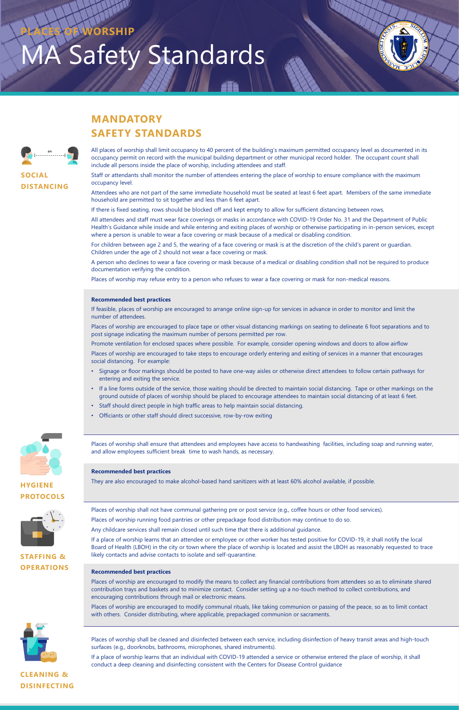# **Safety Standards PORSHIP**



## **MANDATORY SAFETY STANDARDS**

**SOCIAL**

**DISTANCING**

**HYGIENE PROTOCOLS**





Staff or attendants shall monitor the number of attendees entering the place of worship to ensure compliance with the maximum occupancy level.

Attendees who are not part of the same immediate household must be seated at least 6 feet apart. Members of the same immediate household are permitted to sit together and less than 6 feet apart.

If there is fixed seating, rows should be blocked off and kept empty to allow for sufficient distancing between rows.

All attendees and staff must wear face coverings or masks in accordance with COVID-19 Order No. 31 and the Department of Public Health's Guidance while inside and while entering and exiting places of worship or otherwise participating in in-person services, except where a person is unable to wear a face covering or mask because of a medical or disabling condition.

For children between age 2 and 5, the wearing of a face covering or mask is at the discretion of the child's parent or guardian. Children under the age of 2 should not wear a face covering or mask.

A person who declines to wear a face covering or mask because of a medical or disabling condition shall not be required to produce documentation verifying the condition.

Places of worship may refuse entry to a person who refuses to wear a face covering or mask for non-medical reasons.

#### **Recommended best practices**

If feasible, places of worship are encouraged to arrange online sign-up for services in advance in order to monitor and limit the number of attendees.

Places of worship are encouraged to place tape or other visual distancing markings on seating to delineate 6 foot separations and to post signage indicating the maximum number of persons permitted per row.

Promote ventilation for enclosed spaces where possible. For example, consider opening windows and doors to allow airflow

Places of worship are encouraged to take steps to encourage orderly entering and exiting of services in a manner that encourages social distancing. For example:

- Signage or floor markings should be posted to have one-way aisles or otherwise direct attendees to follow certain pathways for entering and exiting the service.
- If a line forms outside of the service, those waiting should be directed to maintain social distancing. Tape or other markings on the ground outside of places of worship should be placed to encourage attendees to maintain social distancing of at least 6 feet.
- Staff should direct people in high traffic areas to help maintain social distancing.
- Officiants or other staff should direct successive, row-by-row exiting



Places of worship shall ensure that attendees and employees have access to handwashing facilities, including soap and running water, and allow employees sufficient break time to wash hands, as necessary.

#### **Recommended best practices**

They are also encouraged to make alcohol-based hand sanitizers with at least 60% alcohol available, if possible.

Places of worship shall not have communal gathering pre or post service (e.g., coffee hours or other food services). Places of worship running food pantries or other prepackage food distribution may continue to do so.

Any childcare services shall remain closed until such time that there is additional guidance.

If a place of worship learns that an attendee or employee or other worker has tested positive for COVID-19, it shall notify the local Board of Health (LBOH) in the city or town where the place of worship is located and assist the LBOH as reasonably requested to trace likely contacts and advise contacts to isolate and self-quarantine.

#### **Recommended best practices**

Places of worship are encouraged to modify the means to collect any financial contributions from attendees so as to eliminate shared contribution trays and baskets and to minimize contact. Consider setting up a no-touch method to collect contributions, and encouraging contributions through mail or electronic means.

Places of worship are encouraged to modify communal rituals, like taking communion or passing of the peace, so as to limit contact with others. Consider distributing, where applicable, prepackaged communion or sacraments.

Places of worship shall be cleaned and disinfected between each service, including disinfection of heavy transit areas and high-touch surfaces (e.g., doorknobs, bathrooms, microphones, shared instruments).

If a place of worship learns that an individual with COVID-19 attended a service or otherwise entered the place of worship, it shall conduct a deep cleaning and disinfecting consistent with the Centers for Disease Control guidance

**STAFFING & OPERATIONS**



**CLEANING & DISINFECTING**